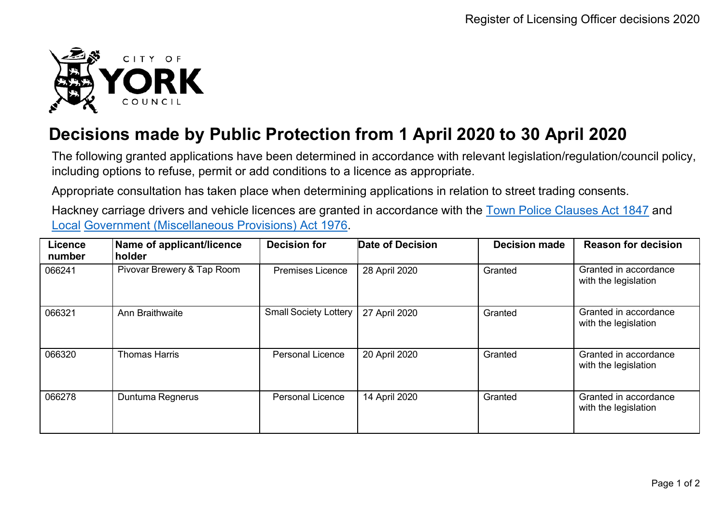

## **Decisions made by Public Protection from 1 April 2020 to 30 April 2020**

The following granted applications have been determined in accordance with relevant legislation/regulation/council policy, including options to refuse, permit or add conditions to a licence as appropriate.

Appropriate consultation has taken place when determining applications in relation to street trading consents.

Hackney carriage drivers and vehicle licences are granted in accordance with the Town Police [Clauses](http://www.legislation.gov.uk/ukpga/Vict/10-11/89) Act 1847 and [Local](http://www.legislation.gov.uk/ukpga/1976/57) [Government \(Miscellaneous Provisions\) Act 1976.](http://www.legislation.gov.uk/ukpga/1976/57)

| <b>Licence</b><br>number | Name of applicant/licence<br>holder | <b>Decision for</b>          | <b>Date of Decision</b> | <b>Decision made</b> | <b>Reason for decision</b>                    |
|--------------------------|-------------------------------------|------------------------------|-------------------------|----------------------|-----------------------------------------------|
| 066241                   | Pivovar Brewery & Tap Room          | <b>Premises Licence</b>      | 28 April 2020           | Granted              | Granted in accordance<br>with the legislation |
| 066321                   | Ann Braithwaite                     | <b>Small Society Lottery</b> | 27 April 2020           | Granted              | Granted in accordance<br>with the legislation |
| 066320                   | <b>Thomas Harris</b>                | <b>Personal Licence</b>      | 20 April 2020           | Granted              | Granted in accordance<br>with the legislation |
| 066278                   | Duntuma Regnerus                    | <b>Personal Licence</b>      | 14 April 2020           | Granted              | Granted in accordance<br>with the legislation |